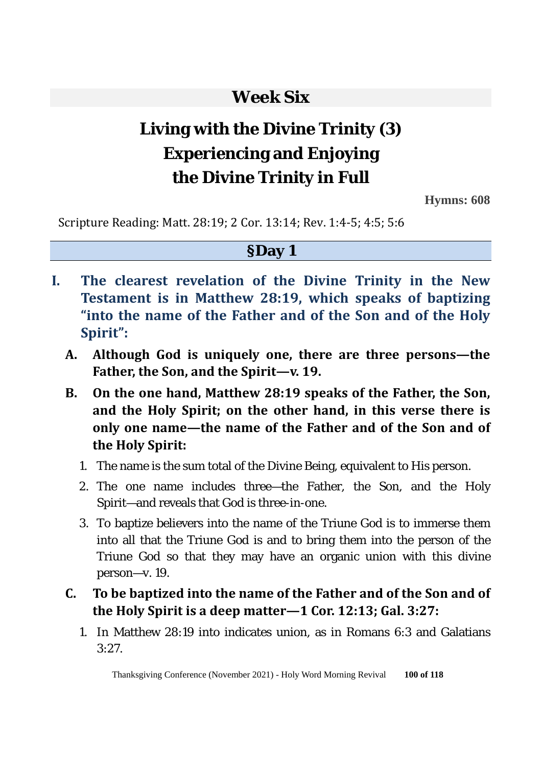# **Week Six**

# **Living with the Divine Trinity (3) Experiencing and Enjoying the Divine Trinity in Full**

**Hymns: 608** 

Scripture Reading: Matt. 28:19; 2 Cor. 13:14; Rev. 1:4-5; 4:5; 5:6

#### **§Day 1**

- **I. The clearest revelation of the Divine Trinity in the New Testament is in Matthew 28:19, which speaks of baptizing "into the name of the Father and of the Son and of the Holy Spirit":** 
	- **A. Although God is uniquely one, there are three persons—the Father, the Son, and the Spirit—v. 19.**
	- **B. On the one hand, Matthew 28:19 speaks of the Father, the Son, and the Holy Spirit; on the other hand, in this verse there is only one name—the name of the Father and of the Son and of the Holy Spirit:**
		- 1. The name is the sum total of the Divine Being, equivalent to His person.
		- 2. The one name includes three—the Father, the Son, and the Holy Spirit—and reveals that God is three-in-one.
		- 3. To baptize believers into the name of the Triune God is to immerse them into all that the Triune God is and to bring them into the person of the Triune God so that they may have an organic union with this divine person—v. 19.
	- **C. To be baptized into the name of the Father and of the Son and of the Holy Spirit is a deep matter—1 Cor. 12:13; Gal. 3:27:** 
		- 1. In Matthew 28:19 into indicates union, as in Romans 6:3 and Galatians  $3.27$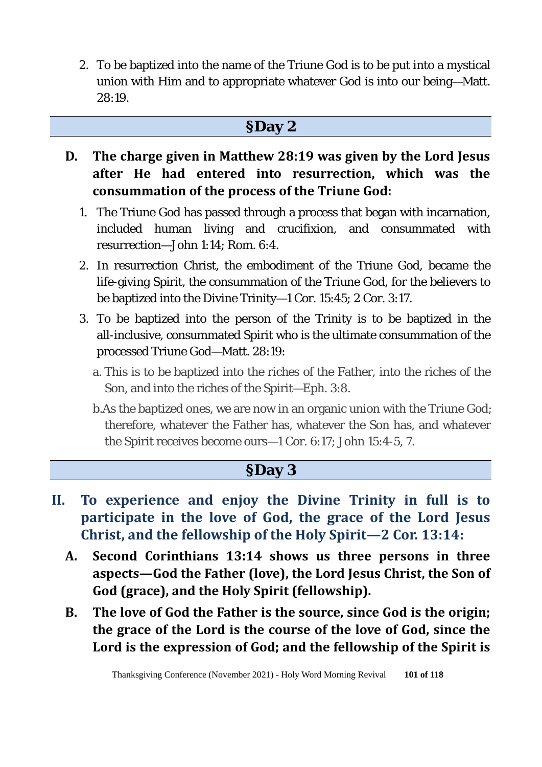2. To be baptized into the name of the Triune God is to be put into a mystical union with Him and to appropriate whatever God is into our being—Matt.  $28.19$ 

#### **§Day 2**

- **D. The charge given in Matthew 28:19 was given by the Lord Jesus after He had entered into resurrection, which was the consummation of the process of the Triune God:**
	- 1. The Triune God has passed through a process that began with incarnation, included human living and crucifixion, and consummated with resurrection—John 1:14; Rom. 6:4.
	- 2. In resurrection Christ, the embodiment of the Triune God, became the life-giving Spirit, the consummation of the Triune God, for the believers to be baptized into the Divine Trinity—1 Cor. 15:45; 2 Cor. 3:17.
	- 3. To be baptized into the person of the Trinity is to be baptized in the all-inclusive, consummated Spirit who is the ultimate consummation of the processed Triune God—Matt. 28:19:
		- a. This is to be baptized into the riches of the Father, into the riches of the Son, and into the riches of the Spirit—Eph. 3:8.
		- b.As the baptized ones, we are now in an organic union with the Triune God; therefore, whatever the Father has, whatever the Son has, and whatever the Spirit receives become ours—1 Cor. 6:17; John 15:4-5, 7.

## **§Day 3**

- **II. To experience and enjoy the Divine Trinity in full is to participate in the love of God, the grace of the Lord Jesus Christ, and the fellowship of the Holy Spirit—2 Cor. 13:14:**
	- **A. Second Corinthians 13:14 shows us three persons in three aspects—God the Father (love), the Lord Jesus Christ, the Son of God (grace), and the Holy Spirit (fellowship).**
	- **B. The love of God the Father is the source, since God is the origin; the grace of the Lord is the course of the love of God, since the Lord is the expression of God; and the fellowship of the Spirit is**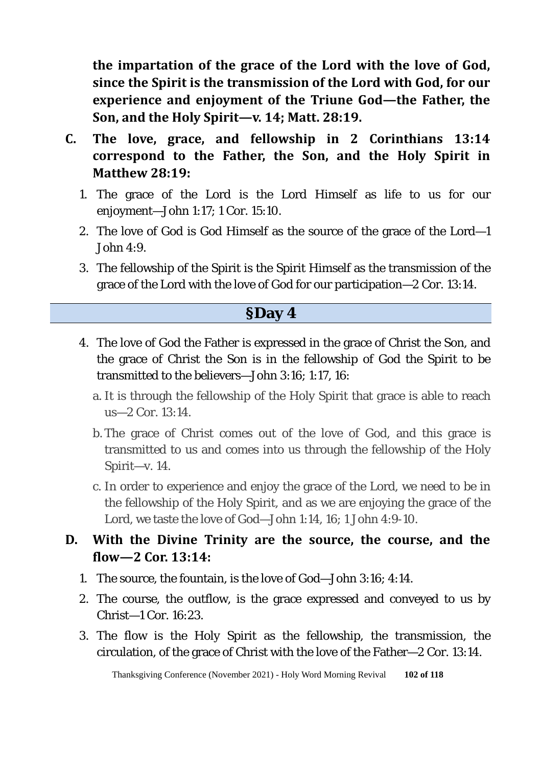**the impartation of the grace of the Lord with the love of God, since the Spirit is the transmission of the Lord with God, for our experience and enjoyment of the Triune God—the Father, the Son, and the Holy Spirit—v. 14; Matt. 28:19.** 

- **C. The love, grace, and fellowship in 2 Corinthians 13:14 correspond to the Father, the Son, and the Holy Spirit in Matthew 28:19:** 
	- 1. The grace of the Lord is the Lord Himself as life to us for our enjoyment—John 1:17; 1 Cor. 15:10.
	- 2. The love of God is God Himself as the source of the grace of the Lord—1 John 4:9.
	- 3. The fellowship of the Spirit is the Spirit Himself as the transmission of the grace of the Lord with the love of God for our participation—2 Cor. 13:14.

## **§Day 4**

- 4. The love of God the Father is expressed in the grace of Christ the Son, and the grace of Christ the Son is in the fellowship of God the Spirit to be transmitted to the believers—John 3:16; 1:17, 16:
	- a. It is through the fellowship of the Holy Spirit that grace is able to reach us—2 Cor. 13:14.
	- b. The grace of Christ comes out of the love of God, and this grace is transmitted to us and comes into us through the fellowship of the Holy Spirit—v. 14.
	- c. In order to experience and enjoy the grace of the Lord, we need to be in the fellowship of the Holy Spirit, and as we are enjoying the grace of the Lord, we taste the love of God—John 1:14, 16; 1 John 4:9-10.

#### **D. With the Divine Trinity are the source, the course, and the flow—2 Cor. 13:14:**

- 1. The source, the fountain, is the love of God—John 3:16; 4:14.
- 2. The course, the outflow, is the grace expressed and conveyed to us by Christ—1 Cor. 16:23.
- 3. The flow is the Holy Spirit as the fellowship, the transmission, the circulation, of the grace of Christ with the love of the Father—2 Cor. 13:14.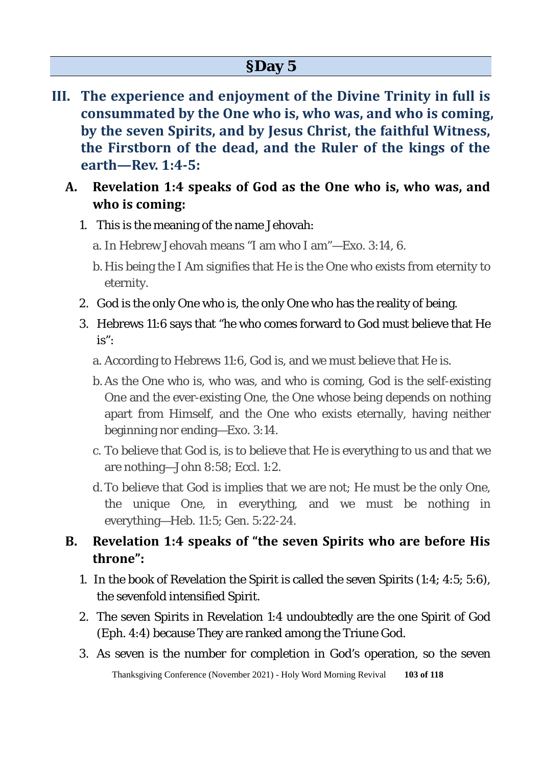- **III. The experience and enjoyment of the Divine Trinity in full is consummated by the One who is, who was, and who is coming, by the seven Spirits, and by Jesus Christ, the faithful Witness, the Firstborn of the dead, and the Ruler of the kings of the earth—Rev. 1:4-5:** 
	- **A. Revelation 1:4 speaks of God as the One who is, who was, and who is coming:**
		- 1. This is the meaning of the name Jehovah:
			- a. In Hebrew Jehovah means "I am who I am"—Exo. 3:14, 6.
			- b. His being the I Am signifies that He is the One who exists from eternity to eternity.
		- 2. God is the only One who is, the only One who has the reality of being.
		- 3. Hebrews 11:6 says that "he who comes forward to God must believe that He is":
			- a. According to Hebrews 11:6, God is, and we must believe that He is.
			- b. As the One who is, who was, and who is coming, God is the self-existing One and the ever-existing One, the One whose being depends on nothing apart from Himself, and the One who exists eternally, having neither beginning nor ending—Exo. 3:14.
			- c. To believe that God is, is to believe that He is everything to us and that we are nothing—John 8:58; Eccl. 1:2.
			- d.To believe that God is implies that we are not; He must be the only One, the unique One, in everything, and we must be nothing in everything—Heb. 11:5; Gen. 5:22-24.

#### **B. Revelation 1:4 speaks of "the seven Spirits who are before His throne":**

- 1. In the book of Revelation the Spirit is called the seven Spirits (1:4; 4:5; 5:6), the sevenfold intensified Spirit.
- 2. The seven Spirits in Revelation 1:4 undoubtedly are the one Spirit of God (Eph. 4:4) because They are ranked among the Triune God.
- 3. As seven is the number for completion in God's operation, so the seven

Thanksgiving Conference (November 2021) - Holy Word Morning Revival **103 of 118**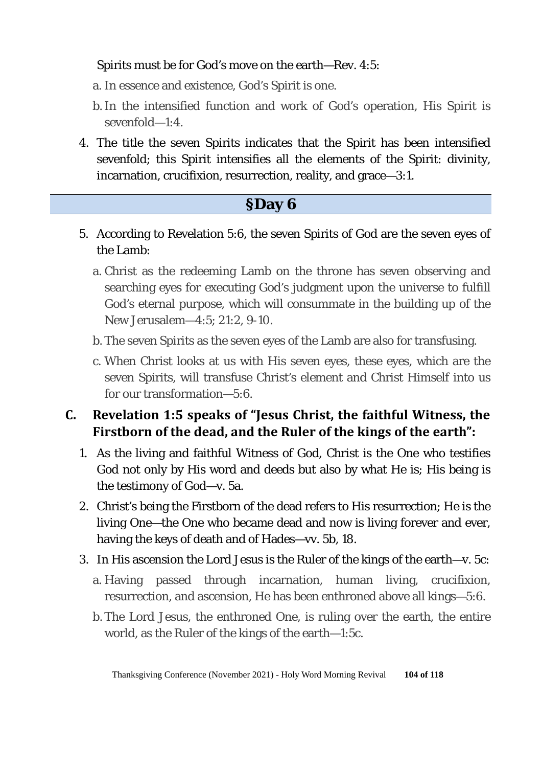#### Spirits must be for God's move on the earth—Rev. 4:5:

- a. In essence and existence, God's Spirit is one.
- b. In the intensified function and work of God's operation, His Spirit is sevenfold—1:4.
- 4. The title the seven Spirits indicates that the Spirit has been intensified sevenfold; this Spirit intensifies all the elements of the Spirit: divinity, incarnation, crucifixion, resurrection, reality, and grace—3:1.

# **§Day 6** 5. According to Revelation 5:6, the seven Spirits of God are the seven eyes of the Lamb: a. Christ as the redeeming Lamb on the throne has seven observing and

- searching eyes for executing God's judgment upon the universe to fulfill God's eternal purpose, which will consummate in the building up of the New Jerusalem—4:5; 21:2, 9-10.
- b. The seven Spirits as the seven eyes of the Lamb are also for transfusing.
- c. When Christ looks at us with His seven eyes, these eyes, which are the seven Spirits, will transfuse Christ's element and Christ Himself into us for our transformation—5:6.

## **C. Revelation 1:5 speaks of "Jesus Christ, the faithful Witness, the Firstborn of the dead, and the Ruler of the kings of the earth":**

- 1. As the living and faithful Witness of God, Christ is the One who testifies God not only by His word and deeds but also by what He is; His being is the testimony of God—v. 5a.
- 2. Christ's being the Firstborn of the dead refers to His resurrection; He is the living One—the One who became dead and now is living forever and ever, having the keys of death and of Hades—vv. 5b, 18.
- 3. In His ascension the Lord Jesus is the Ruler of the kings of the earth—v. 5c:
	- a. Having passed through incarnation, human living, crucifixion, resurrection, and ascension, He has been enthroned above all kings—5:6.
	- b. The Lord Jesus, the enthroned One, is ruling over the earth, the entire world, as the Ruler of the kings of the earth—1:5c.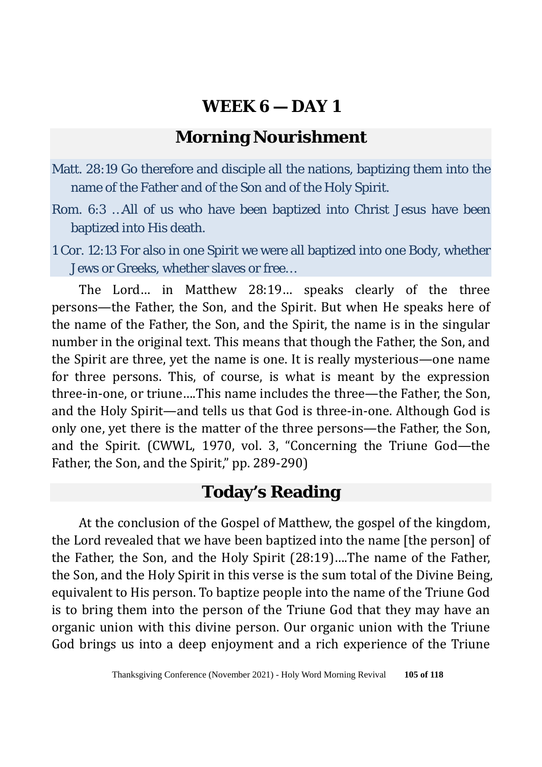## **Morning Nourishment**

- Matt. 28:19 Go therefore and disciple all the nations, baptizing them into the name of the Father and of the Son and of the Holy Spirit.
- Rom. 6:3 …All of us who have been baptized into Christ Jesus have been baptized into His death.
- 1 Cor. 12:13 For also in one Spirit we were all baptized into one Body, whether Jews or Greeks, whether slaves or free…

The Lord… in Matthew 28:19… speaks clearly of the three persons—the Father, the Son, and the Spirit. But when He speaks here of the name of the Father, the Son, and the Spirit, the name is in the singular number in the original text. This means that though the Father, the Son, and the Spirit are three, yet the name is one. It is really mysterious—one name for three persons. This, of course, is what is meant by the expression three-in-one, or triune….This name includes the three—the Father, the Son, and the Holy Spirit—and tells us that God is three-in-one. Although God is only one, yet there is the matter of the three persons—the Father, the Son, and the Spirit. (CWWL, 1970, vol. 3, "Concerning the Triune God—the Father, the Son, and the Spirit," pp. 289-290)

## **Today's Reading**

At the conclusion of the Gospel of Matthew, the gospel of the kingdom, the Lord revealed that we have been baptized into the name [the person] of the Father, the Son, and the Holy Spirit (28:19)….The name of the Father, the Son, and the Holy Spirit in this verse is the sum total of the Divine Being, equivalent to His person. To baptize people into the name of the Triune God is to bring them into the person of the Triune God that they may have an organic union with this divine person. Our organic union with the Triune God brings us into a deep enjoyment and a rich experience of the Triune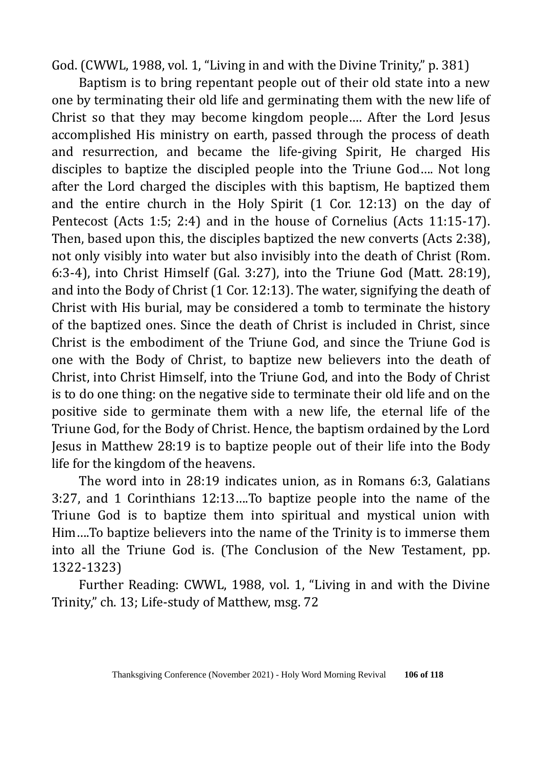God. (CWWL, 1988, vol. 1, "Living in and with the Divine Trinity," p. 381)

Baptism is to bring repentant people out of their old state into a new one by terminating their old life and germinating them with the new life of Christ so that they may become kingdom people…. After the Lord Jesus accomplished His ministry on earth, passed through the process of death and resurrection, and became the life-giving Spirit, He charged His disciples to baptize the discipled people into the Triune God…. Not long after the Lord charged the disciples with this baptism, He baptized them and the entire church in the Holy Spirit (1 Cor. 12:13) on the day of Pentecost (Acts 1:5; 2:4) and in the house of Cornelius (Acts 11:15-17). Then, based upon this, the disciples baptized the new converts (Acts 2:38), not only visibly into water but also invisibly into the death of Christ (Rom. 6:3-4), into Christ Himself (Gal. 3:27), into the Triune God (Matt. 28:19), and into the Body of Christ (1 Cor. 12:13). The water, signifying the death of Christ with His burial, may be considered a tomb to terminate the history of the baptized ones. Since the death of Christ is included in Christ, since Christ is the embodiment of the Triune God, and since the Triune God is one with the Body of Christ, to baptize new believers into the death of Christ, into Christ Himself, into the Triune God, and into the Body of Christ is to do one thing: on the negative side to terminate their old life and on the positive side to germinate them with a new life, the eternal life of the Triune God, for the Body of Christ. Hence, the baptism ordained by the Lord Jesus in Matthew 28:19 is to baptize people out of their life into the Body life for the kingdom of the heavens.

The word into in 28:19 indicates union, as in Romans 6:3, Galatians 3:27, and 1 Corinthians 12:13….To baptize people into the name of the Triune God is to baptize them into spiritual and mystical union with Him….To baptize believers into the name of the Trinity is to immerse them into all the Triune God is. (The Conclusion of the New Testament, pp. 1322-1323)

Further Reading: CWWL, 1988, vol. 1, "Living in and with the Divine Trinity," ch. 13; Life-study of Matthew, msg. 72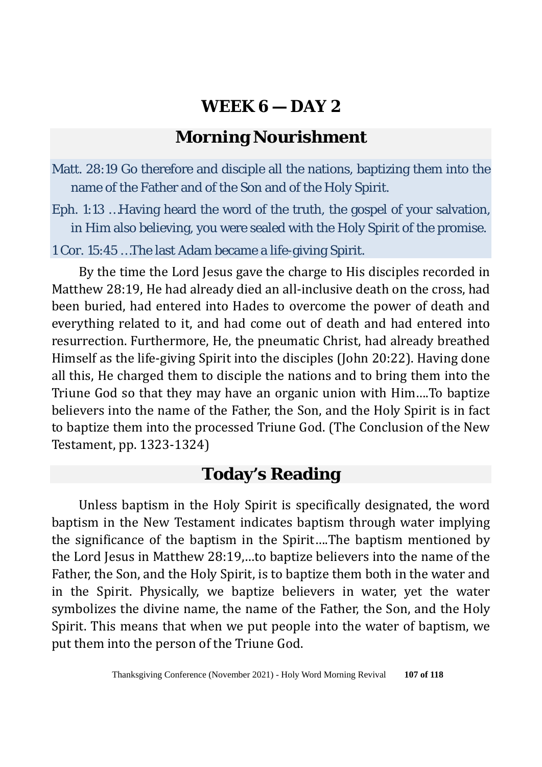# **Morning Nourishment**

- Matt. 28:19 Go therefore and disciple all the nations, baptizing them into the name of the Father and of the Son and of the Holy Spirit.
- Eph. 1:13 …Having heard the word of the truth, the gospel of your salvation, in Him also believing, you were sealed with the Holy Spirit of the promise.

1 Cor. 15:45 …The last Adam became a life-giving Spirit.

By the time the Lord Jesus gave the charge to His disciples recorded in Matthew 28:19, He had already died an all-inclusive death on the cross, had been buried, had entered into Hades to overcome the power of death and everything related to it, and had come out of death and had entered into resurrection. Furthermore, He, the pneumatic Christ, had already breathed Himself as the life-giving Spirit into the disciples (John 20:22). Having done all this, He charged them to disciple the nations and to bring them into the Triune God so that they may have an organic union with Him….To baptize believers into the name of the Father, the Son, and the Holy Spirit is in fact to baptize them into the processed Triune God. (The Conclusion of the New Testament, pp. 1323-1324)

## **Today's Reading**

Unless baptism in the Holy Spirit is specifically designated, the word baptism in the New Testament indicates baptism through water implying the significance of the baptism in the Spirit….The baptism mentioned by the Lord Jesus in Matthew 28:19,…to baptize believers into the name of the Father, the Son, and the Holy Spirit, is to baptize them both in the water and in the Spirit. Physically, we baptize believers in water, yet the water symbolizes the divine name, the name of the Father, the Son, and the Holy Spirit. This means that when we put people into the water of baptism, we put them into the person of the Triune God.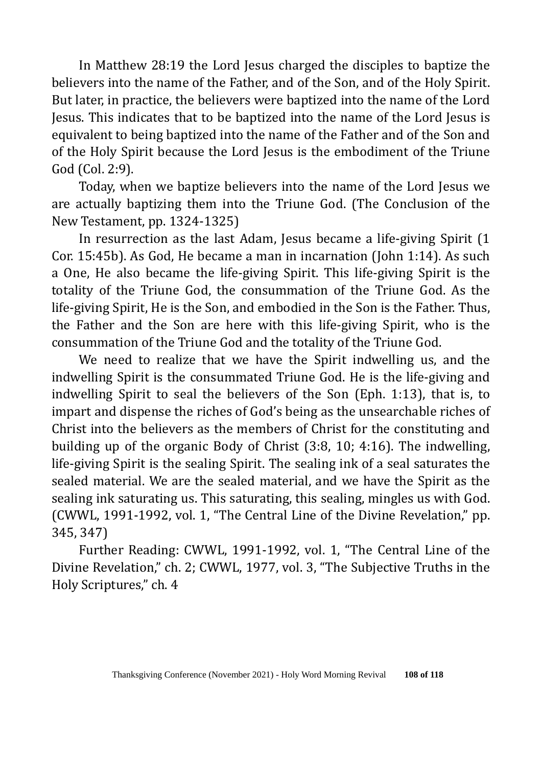In Matthew 28:19 the Lord Jesus charged the disciples to baptize the believers into the name of the Father, and of the Son, and of the Holy Spirit. But later, in practice, the believers were baptized into the name of the Lord Jesus. This indicates that to be baptized into the name of the Lord Jesus is equivalent to being baptized into the name of the Father and of the Son and of the Holy Spirit because the Lord Jesus is the embodiment of the Triune God (Col. 2:9).

Today, when we baptize believers into the name of the Lord Jesus we are actually baptizing them into the Triune God. (The Conclusion of the New Testament, pp. 1324-1325)

In resurrection as the last Adam, Jesus became a life-giving Spirit (1 Cor. 15:45b). As God, He became a man in incarnation (John 1:14). As such a One, He also became the life-giving Spirit. This life-giving Spirit is the totality of the Triune God, the consummation of the Triune God. As the life-giving Spirit, He is the Son, and embodied in the Son is the Father. Thus, the Father and the Son are here with this life-giving Spirit, who is the consummation of the Triune God and the totality of the Triune God.

We need to realize that we have the Spirit indwelling us, and the indwelling Spirit is the consummated Triune God. He is the life-giving and indwelling Spirit to seal the believers of the Son (Eph. 1:13), that is, to impart and dispense the riches of God's being as the unsearchable riches of Christ into the believers as the members of Christ for the constituting and building up of the organic Body of Christ (3:8, 10; 4:16). The indwelling, life-giving Spirit is the sealing Spirit. The sealing ink of a seal saturates the sealed material. We are the sealed material, and we have the Spirit as the sealing ink saturating us. This saturating, this sealing, mingles us with God. (CWWL, 1991-1992, vol. 1, "The Central Line of the Divine Revelation," pp. 345, 347)

Further Reading: CWWL, 1991-1992, vol. 1, "The Central Line of the Divine Revelation," ch. 2; CWWL, 1977, vol. 3, "The Subjective Truths in the Holy Scriptures," ch. 4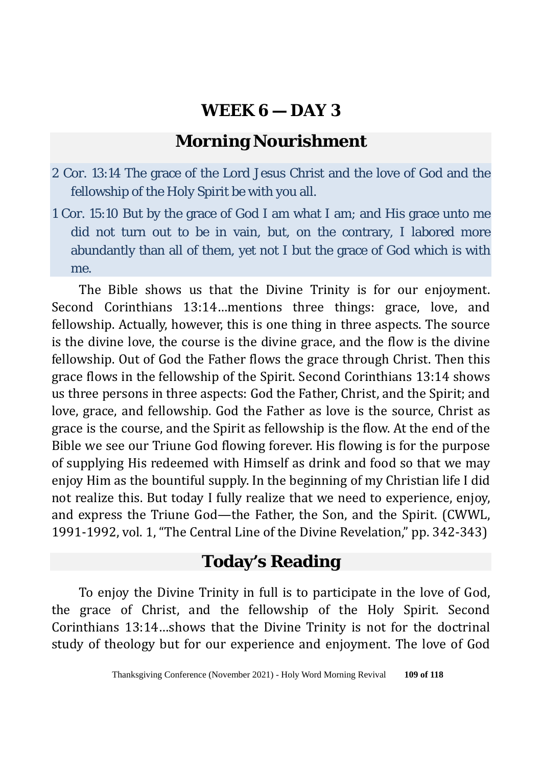# **Morning Nourishment**

- 2 Cor. 13:14 The grace of the Lord Jesus Christ and the love of God and the fellowship of the Holy Spirit be with you all.
- 1 Cor. 15:10 But by the grace of God I am what I am; and His grace unto me did not turn out to be in vain, but, on the contrary, I labored more abundantly than all of them, yet not I but the grace of God which is with me.

The Bible shows us that the Divine Trinity is for our enjoyment. Second Corinthians 13:14…mentions three things: grace, love, and fellowship. Actually, however, this is one thing in three aspects. The source is the divine love, the course is the divine grace, and the flow is the divine fellowship. Out of God the Father flows the grace through Christ. Then this grace flows in the fellowship of the Spirit. Second Corinthians 13:14 shows us three persons in three aspects: God the Father, Christ, and the Spirit; and love, grace, and fellowship. God the Father as love is the source, Christ as grace is the course, and the Spirit as fellowship is the flow. At the end of the Bible we see our Triune God flowing forever. His flowing is for the purpose of supplying His redeemed with Himself as drink and food so that we may enjoy Him as the bountiful supply. In the beginning of my Christian life I did not realize this. But today I fully realize that we need to experience, enjoy, and express the Triune God—the Father, the Son, and the Spirit. (CWWL, 1991-1992, vol. 1, "The Central Line of the Divine Revelation," pp. 342-343)

## **Today's Reading**

To enjoy the Divine Trinity in full is to participate in the love of God, the grace of Christ, and the fellowship of the Holy Spirit. Second Corinthians 13:14…shows that the Divine Trinity is not for the doctrinal study of theology but for our experience and enjoyment. The love of God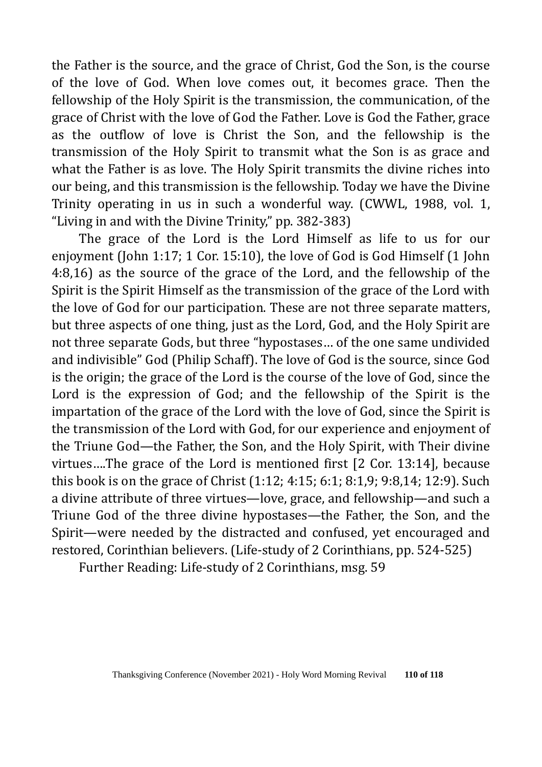the Father is the source, and the grace of Christ, God the Son, is the course of the love of God. When love comes out, it becomes grace. Then the fellowship of the Holy Spirit is the transmission, the communication, of the grace of Christ with the love of God the Father. Love is God the Father, grace as the outflow of love is Christ the Son, and the fellowship is the transmission of the Holy Spirit to transmit what the Son is as grace and what the Father is as love. The Holy Spirit transmits the divine riches into our being, and this transmission is the fellowship. Today we have the Divine Trinity operating in us in such a wonderful way. (CWWL, 1988, vol. 1, "Living in and with the Divine Trinity," pp. 382-383)

The grace of the Lord is the Lord Himself as life to us for our enjoyment (John 1:17; 1 Cor. 15:10), the love of God is God Himself (1 John 4:8,16) as the source of the grace of the Lord, and the fellowship of the Spirit is the Spirit Himself as the transmission of the grace of the Lord with the love of God for our participation. These are not three separate matters, but three aspects of one thing, just as the Lord, God, and the Holy Spirit are not three separate Gods, but three "hypostases… of the one same undivided and indivisible" God (Philip Schaff). The love of God is the source, since God is the origin; the grace of the Lord is the course of the love of God, since the Lord is the expression of God; and the fellowship of the Spirit is the impartation of the grace of the Lord with the love of God, since the Spirit is the transmission of the Lord with God, for our experience and enjoyment of the Triune God—the Father, the Son, and the Holy Spirit, with Their divine virtues….The grace of the Lord is mentioned first [2 Cor. 13:14], because this book is on the grace of Christ (1:12; 4:15; 6:1; 8:1,9; 9:8,14; 12:9). Such a divine attribute of three virtues—love, grace, and fellowship—and such a Triune God of the three divine hypostases—the Father, the Son, and the Spirit—were needed by the distracted and confused, yet encouraged and restored, Corinthian believers. (Life-study of 2 Corinthians, pp. 524-525)

Further Reading: Life-study of 2 Corinthians, msg. 59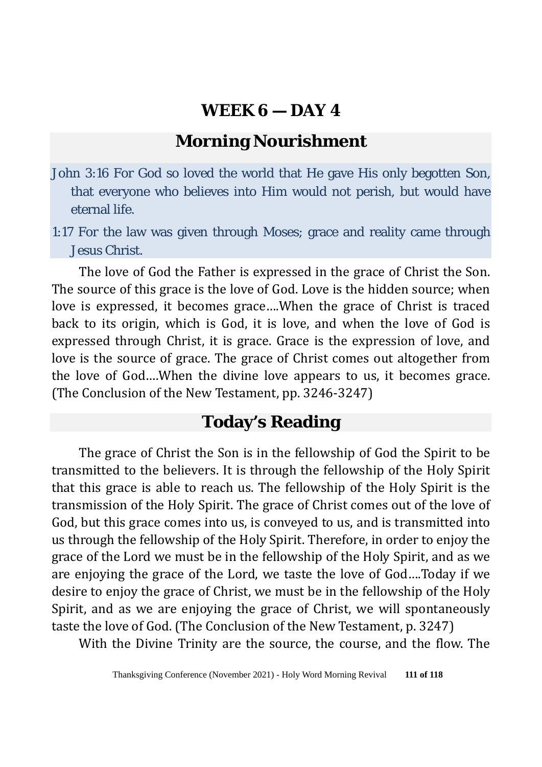# **Morning Nourishment**

- John 3:16 For God so loved the world that He gave His only begotten Son, that everyone who believes into Him would not perish, but would have eternal life.
- 1:17 For the law was given through Moses; grace and reality came through Jesus Christ.

The love of God the Father is expressed in the grace of Christ the Son. The source of this grace is the love of God. Love is the hidden source; when love is expressed, it becomes grace….When the grace of Christ is traced back to its origin, which is God, it is love, and when the love of God is expressed through Christ, it is grace. Grace is the expression of love, and love is the source of grace. The grace of Christ comes out altogether from the love of God….When the divine love appears to us, it becomes grace. (The Conclusion of the New Testament, pp. 3246-3247)

#### **Today's Reading**

The grace of Christ the Son is in the fellowship of God the Spirit to be transmitted to the believers. It is through the fellowship of the Holy Spirit that this grace is able to reach us. The fellowship of the Holy Spirit is the transmission of the Holy Spirit. The grace of Christ comes out of the love of God, but this grace comes into us, is conveyed to us, and is transmitted into us through the fellowship of the Holy Spirit. Therefore, in order to enjoy the grace of the Lord we must be in the fellowship of the Holy Spirit, and as we are enjoying the grace of the Lord, we taste the love of God….Today if we desire to enjoy the grace of Christ, we must be in the fellowship of the Holy Spirit, and as we are enjoying the grace of Christ, we will spontaneously taste the love of God. (The Conclusion of the New Testament, p. 3247)

With the Divine Trinity are the source, the course, and the flow. The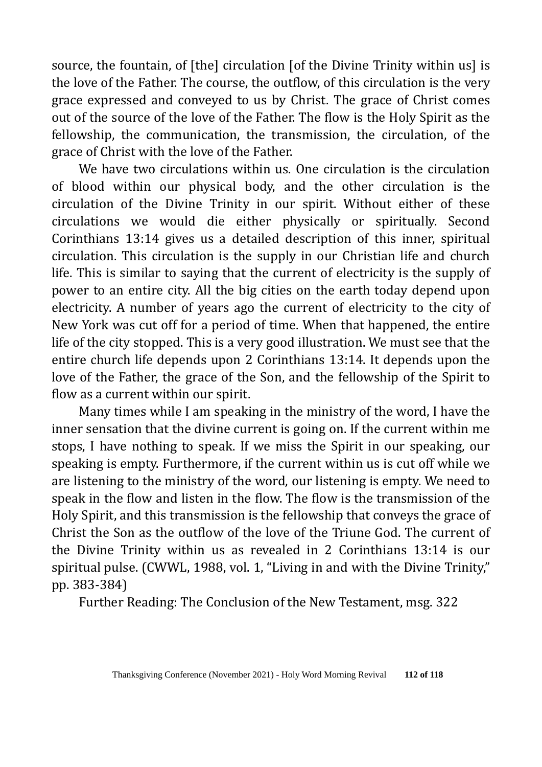source, the fountain, of [the] circulation [of the Divine Trinity within us] is the love of the Father. The course, the outflow, of this circulation is the very grace expressed and conveyed to us by Christ. The grace of Christ comes out of the source of the love of the Father. The flow is the Holy Spirit as the fellowship, the communication, the transmission, the circulation, of the grace of Christ with the love of the Father.

We have two circulations within us. One circulation is the circulation of blood within our physical body, and the other circulation is the circulation of the Divine Trinity in our spirit. Without either of these circulations we would die either physically or spiritually. Second Corinthians 13:14 gives us a detailed description of this inner, spiritual circulation. This circulation is the supply in our Christian life and church life. This is similar to saying that the current of electricity is the supply of power to an entire city. All the big cities on the earth today depend upon electricity. A number of years ago the current of electricity to the city of New York was cut off for a period of time. When that happened, the entire life of the city stopped. This is a very good illustration. We must see that the entire church life depends upon 2 Corinthians 13:14. It depends upon the love of the Father, the grace of the Son, and the fellowship of the Spirit to flow as a current within our spirit.

Many times while I am speaking in the ministry of the word, I have the inner sensation that the divine current is going on. If the current within me stops, I have nothing to speak. If we miss the Spirit in our speaking, our speaking is empty. Furthermore, if the current within us is cut off while we are listening to the ministry of the word, our listening is empty. We need to speak in the flow and listen in the flow. The flow is the transmission of the Holy Spirit, and this transmission is the fellowship that conveys the grace of Christ the Son as the outflow of the love of the Triune God. The current of the Divine Trinity within us as revealed in 2 Corinthians 13:14 is our spiritual pulse. (CWWL, 1988, vol. 1, "Living in and with the Divine Trinity," pp. 383-384)

Further Reading: The Conclusion of the New Testament, msg. 322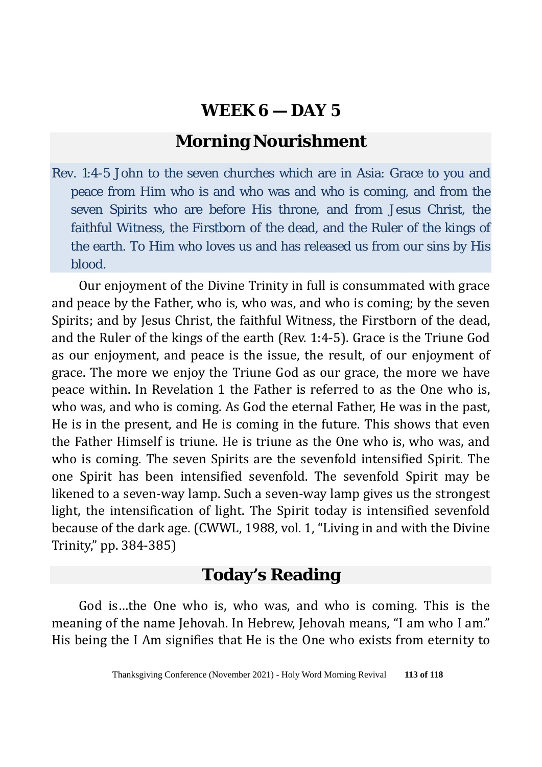# **Morning Nourishment**

Rev. 1:4-5 John to the seven churches which are in Asia: Grace to you and peace from Him who is and who was and who is coming, and from the seven Spirits who are before His throne, and from Jesus Christ, the faithful Witness, the Firstborn of the dead, and the Ruler of the kings of the earth. To Him who loves us and has released us from our sins by His blood.

Our enjoyment of the Divine Trinity in full is consummated with grace and peace by the Father, who is, who was, and who is coming; by the seven Spirits; and by Jesus Christ, the faithful Witness, the Firstborn of the dead, and the Ruler of the kings of the earth (Rev. 1:4-5). Grace is the Triune God as our enjoyment, and peace is the issue, the result, of our enjoyment of grace. The more we enjoy the Triune God as our grace, the more we have peace within. In Revelation 1 the Father is referred to as the One who is, who was, and who is coming. As God the eternal Father, He was in the past, He is in the present, and He is coming in the future. This shows that even the Father Himself is triune. He is triune as the One who is, who was, and who is coming. The seven Spirits are the sevenfold intensified Spirit. The one Spirit has been intensified sevenfold. The sevenfold Spirit may be likened to a seven-way lamp. Such a seven-way lamp gives us the strongest light, the intensification of light. The Spirit today is intensified sevenfold because of the dark age. (CWWL, 1988, vol. 1, "Living in and with the Divine Trinity," pp. 384-385)

# **Today's Reading**

God is…the One who is, who was, and who is coming. This is the meaning of the name Jehovah. In Hebrew, Jehovah means, "I am who I am." His being the I Am signifies that He is the One who exists from eternity to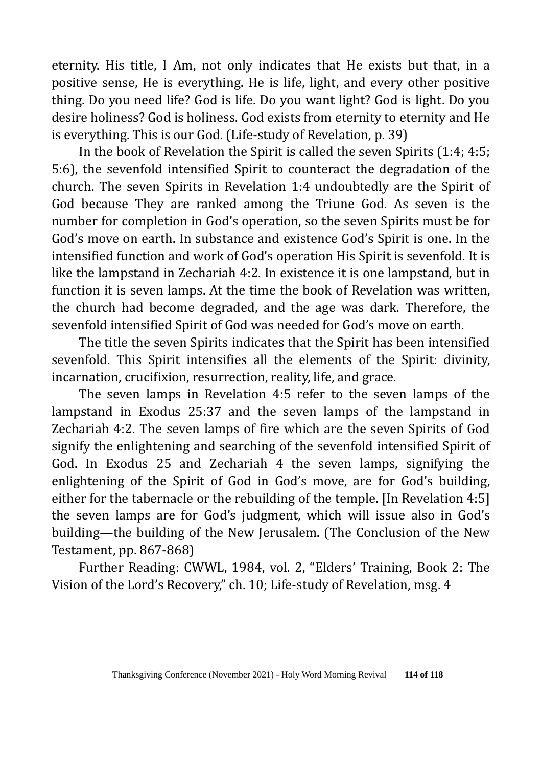eternity. His title, I Am, not only indicates that He exists but that, in a positive sense, He is everything. He is life, light, and every other positive thing. Do you need life? God is life. Do you want light? God is light. Do you desire holiness? God is holiness. God exists from eternity to eternity and He is everything. This is our God. (Life-study of Revelation, p. 39)

In the book of Revelation the Spirit is called the seven Spirits (1:4; 4:5; 5:6), the sevenfold intensified Spirit to counteract the degradation of the church. The seven Spirits in Revelation 1:4 undoubtedly are the Spirit of God because They are ranked among the Triune God. As seven is the number for completion in God's operation, so the seven Spirits must be for God's move on earth. In substance and existence God's Spirit is one. In the intensified function and work of God's operation His Spirit is sevenfold. It is like the lampstand in Zechariah 4:2. In existence it is one lampstand, but in function it is seven lamps. At the time the book of Revelation was written, the church had become degraded, and the age was dark. Therefore, the sevenfold intensified Spirit of God was needed for God's move on earth.

The title the seven Spirits indicates that the Spirit has been intensified sevenfold. This Spirit intensifies all the elements of the Spirit: divinity, incarnation, crucifixion, resurrection, reality, life, and grace.

The seven lamps in Revelation 4:5 refer to the seven lamps of the lampstand in Exodus 25:37 and the seven lamps of the lampstand in Zechariah 4:2. The seven lamps of fire which are the seven Spirits of God signify the enlightening and searching of the sevenfold intensified Spirit of God. In Exodus 25 and Zechariah 4 the seven lamps, signifying the enlightening of the Spirit of God in God's move, are for God's building, either for the tabernacle or the rebuilding of the temple. [In Revelation 4:5] the seven lamps are for God's judgment, which will issue also in God's building—the building of the New Jerusalem. (The Conclusion of the New Testament, pp. 867-868)

Further Reading: CWWL, 1984, vol. 2, "Elders' Training, Book 2: The Vision of the Lord's Recovery," ch. 10; Life-study of Revelation, msg. 4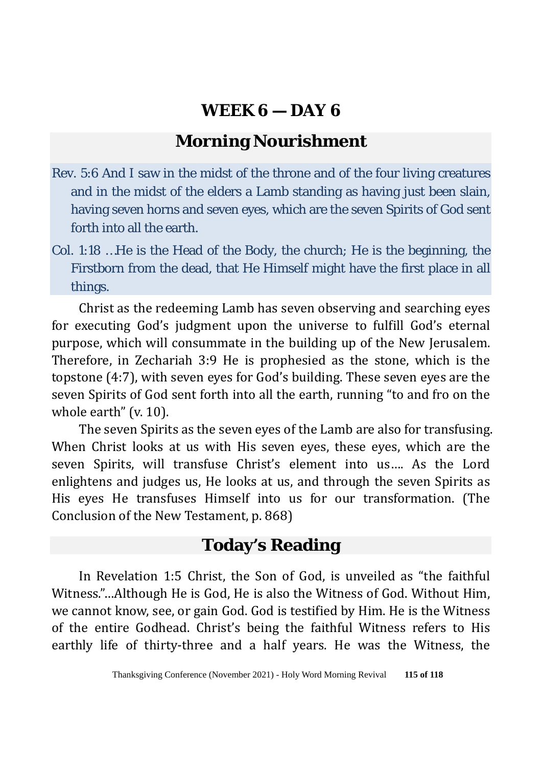# **Morning Nourishment**

- Rev. 5:6 And I saw in the midst of the throne and of the four living creatures and in the midst of the elders a Lamb standing as having just been slain, having seven horns and seven eyes, which are the seven Spirits of God sent forth into all the earth.
- Col. 1:18 …He is the Head of the Body, the church; He is the beginning, the Firstborn from the dead, that He Himself might have the first place in all things.

Christ as the redeeming Lamb has seven observing and searching eyes for executing God's judgment upon the universe to fulfill God's eternal purpose, which will consummate in the building up of the New Jerusalem. Therefore, in Zechariah 3:9 He is prophesied as the stone, which is the topstone (4:7), with seven eyes for God's building. These seven eyes are the seven Spirits of God sent forth into all the earth, running "to and fro on the whole earth" (v. 10).

The seven Spirits as the seven eyes of the Lamb are also for transfusing. When Christ looks at us with His seven eyes, these eyes, which are the seven Spirits, will transfuse Christ's element into us…. As the Lord enlightens and judges us, He looks at us, and through the seven Spirits as His eyes He transfuses Himself into us for our transformation. (The Conclusion of the New Testament, p. 868)

## **Today's Reading**

In Revelation 1:5 Christ, the Son of God, is unveiled as "the faithful Witness."…Although He is God, He is also the Witness of God. Without Him, we cannot know, see, or gain God. God is testified by Him. He is the Witness of the entire Godhead. Christ's being the faithful Witness refers to His earthly life of thirty-three and a half years. He was the Witness, the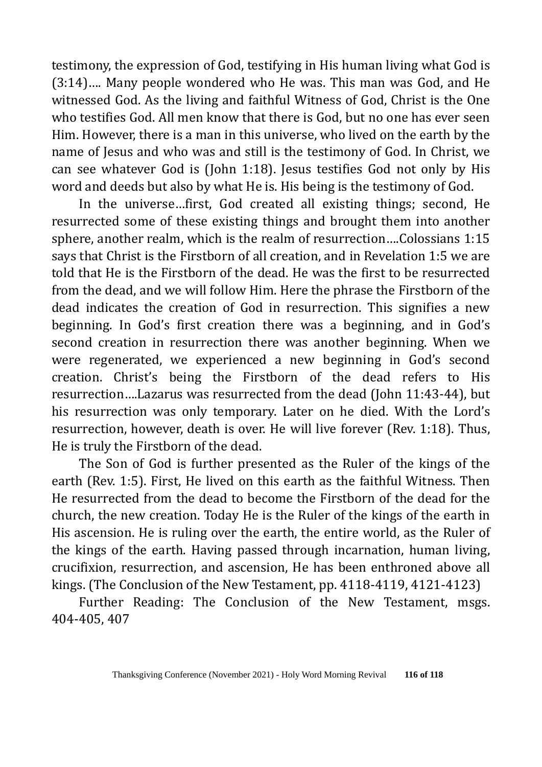testimony, the expression of God, testifying in His human living what God is (3:14)…. Many people wondered who He was. This man was God, and He witnessed God. As the living and faithful Witness of God, Christ is the One who testifies God. All men know that there is God, but no one has ever seen Him. However, there is a man in this universe, who lived on the earth by the name of Jesus and who was and still is the testimony of God. In Christ, we can see whatever God is (John 1:18). Jesus testifies God not only by His word and deeds but also by what He is. His being is the testimony of God.

In the universe…first, God created all existing things; second, He resurrected some of these existing things and brought them into another sphere, another realm, which is the realm of resurrection….Colossians 1:15 says that Christ is the Firstborn of all creation, and in Revelation 1:5 we are told that He is the Firstborn of the dead. He was the first to be resurrected from the dead, and we will follow Him. Here the phrase the Firstborn of the dead indicates the creation of God in resurrection. This signifies a new beginning. In God's first creation there was a beginning, and in God's second creation in resurrection there was another beginning. When we were regenerated, we experienced a new beginning in God's second creation. Christ's being the Firstborn of the dead refers to His resurrection….Lazarus was resurrected from the dead (John 11:43-44), but his resurrection was only temporary. Later on he died. With the Lord's resurrection, however, death is over. He will live forever (Rev. 1:18). Thus, He is truly the Firstborn of the dead.

The Son of God is further presented as the Ruler of the kings of the earth (Rev. 1:5). First, He lived on this earth as the faithful Witness. Then He resurrected from the dead to become the Firstborn of the dead for the church, the new creation. Today He is the Ruler of the kings of the earth in His ascension. He is ruling over the earth, the entire world, as the Ruler of the kings of the earth. Having passed through incarnation, human living, crucifixion, resurrection, and ascension, He has been enthroned above all kings. (The Conclusion of the New Testament, pp. 4118-4119, 4121-4123)

Further Reading: The Conclusion of the New Testament, msgs. 404-405, 407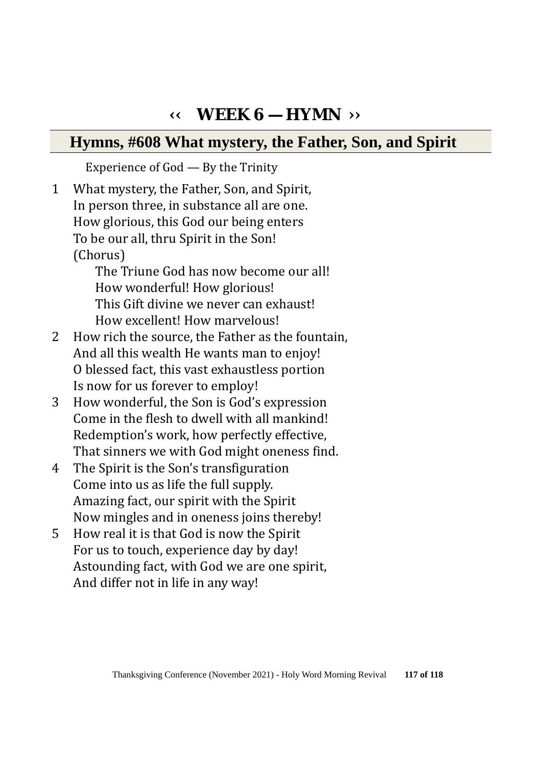# **‹‹ WEEK 6 — HYMN ››**

# **Hymns, #608 What mystery, the Father, Son, and Spirit**

Experience of God — By the Trinity

1 What mystery, the Father, Son, and Spirit, In person three, in substance all are one. How glorious, this God our being enters To be our all, thru Spirit in the Son! (Chorus) The Triune God has now become our all! How wonderful! How glorious! This Gift divine we never can exhaust! How excellent! How marvelous! 2 How rich the source, the Father as the fountain, And all this wealth He wants man to enjoy! O blessed fact, this vast exhaustless portion Is now for us forever to employ! 3 How wonderful, the Son is God's expression Come in the flesh to dwell with all mankind! Redemption's work, how perfectly effective, That sinners we with God might oneness find. 4 The Spirit is the Son's transfiguration Come into us as life the full supply. Amazing fact, our spirit with the Spirit Now mingles and in oneness joins thereby! 5 How real it is that God is now the Spirit For us to touch, experience day by day! Astounding fact, with God we are one spirit,

And differ not in life in any way!